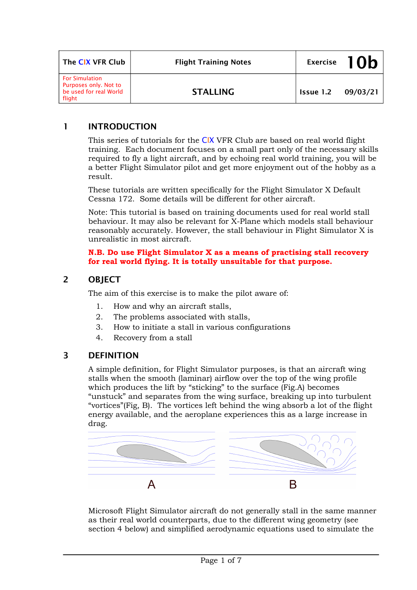| The CIX VFR Club                                                                   | <b>Flight Training Notes</b> |                    | Exercise 10b |
|------------------------------------------------------------------------------------|------------------------------|--------------------|--------------|
| <b>For Simulation</b><br>Purposes only. Not to<br>be used for real World<br>flight | <b>STALLING</b>              | Issue 1.2 09/03/21 |              |

# **1 INTRODUCTION**

This series of tutorials for the CIX VFR Club are based on real world flight training. Each document focuses on a small part only of the necessary skills required to fly a light aircraft, and by echoing real world training, you will be a better Flight Simulator pilot and get more enjoyment out of the hobby as a result.

These tutorials are written specifically for the Flight Simulator X Default Cessna 172. Some details will be different for other aircraft.

Note: This tutorial is based on training documents used for real world stall behaviour. It may also be relevant for X-Plane which models stall behaviour reasonably accurately. However, the stall behaviour in Flight Simulator X is unrealistic in most aircraft.

#### **N.B. Do use Flight Simulator X as a means of practising stall recovery for real world flying. It is totally unsuitable for that purpose.**

### **2 OBJECT**

The aim of this exercise is to make the pilot aware of:

- 1. How and why an aircraft stalls,
- 2. The problems associated with stalls,
- 3. How to initiate a stall in various configurations
- 4. Recovery from a stall

# **3 DEFINITION**

A simple definition, for Flight Simulator purposes, is that an aircraft wing stalls when the smooth (laminar) airflow over the top of the wing profile which produces the lift by "sticking" to the surface (Fig.A) becomes "unstuck" and separates from the wing surface, breaking up into turbulent "vortices"(Fig, B). The vortices left behind the wing absorb a lot of the flight energy available, and the aeroplane experiences this as a large increase in drag.



Microsoft Flight Simulator aircraft do not generally stall in the same manner as their real world counterparts, due to the different wing geometry (see section 4 below) and simplified aerodynamic equations used to simulate the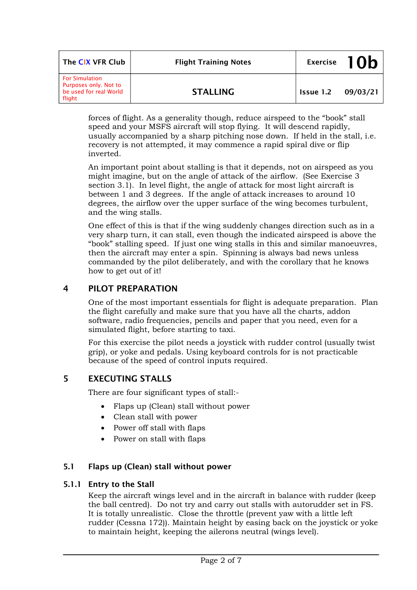| The CIX VFR Club                                                                   | <b>Flight Training Notes</b> |                    | Exercise $10b$ |
|------------------------------------------------------------------------------------|------------------------------|--------------------|----------------|
| <b>For Simulation</b><br>Purposes only. Not to<br>be used for real World<br>flight | <b>STALLING</b>              | Issue 1.2 09/03/21 |                |

forces of flight. As a generality though, reduce airspeed to the "book" stall speed and your MSFS aircraft will stop flying. It will descend rapidly, usually accompanied by a sharp pitching nose down. If held in the stall, i.e. recovery is not attempted, it may commence a rapid spiral dive or flip inverted.

An important point about stalling is that it depends, not on airspeed as you might imagine, but on the angle of attack of the airflow. (See Exercise 3 section 3.1). In level flight, the angle of attack for most light aircraft is between 1 and 3 degrees. If the angle of attack increases to around 10 degrees, the airflow over the upper surface of the wing becomes turbulent, and the wing stalls.

One effect of this is that if the wing suddenly changes direction such as in a very sharp turn, it can stall, even though the indicated airspeed is above the "book" stalling speed. If just one wing stalls in this and similar manoeuvres, then the aircraft may enter a spin. Spinning is always bad news unless commanded by the pilot deliberately, and with the corollary that he knows how to get out of it!

# **4 PILOT PREPARATION**

One of the most important essentials for flight is adequate preparation. Plan the flight carefully and make sure that you have all the charts, addon software, radio frequencies, pencils and paper that you need, even for a simulated flight, before starting to taxi.

For this exercise the pilot needs a joystick with rudder control (usually twist grip), or yoke and pedals. Using keyboard controls for is not practicable because of the speed of control inputs required.

# **5 EXECUTING STALLS**

There are four significant types of stall:-

- Flaps up (Clean) stall without power
- Clean stall with power
- Power off stall with flaps
- Power on stall with flaps

# **5.1 Flaps up (Clean) stall without power**

# **5.1.1 Entry to the Stall**

Keep the aircraft wings level and in the aircraft in balance with rudder (keep the ball centred). Do not try and carry out stalls with autorudder set in FS. It is totally unrealistic. Close the throttle (prevent yaw with a little left rudder (Cessna 172)). Maintain height by easing back on the joystick or yoke to maintain height, keeping the ailerons neutral (wings level).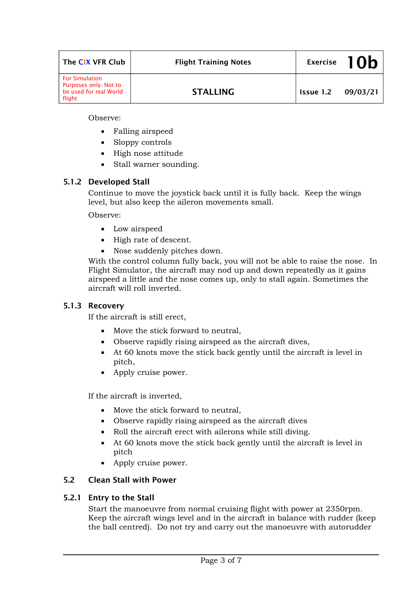| The CIX VFR Club                                                                   | <b>Flight Training Notes</b> |                    | Exercise $10h$ |
|------------------------------------------------------------------------------------|------------------------------|--------------------|----------------|
| <b>For Simulation</b><br>Purposes only. Not to<br>be used for real World<br>flight | <b>STALLING</b>              | Issue 1.2 09/03/21 |                |

Observe:

- Falling airspeed
- Sloppy controls
- High nose attitude
- Stall warner sounding.

### **5.1.2 Developed Stall**

Continue to move the joystick back until it is fully back. Keep the wings level, but also keep the aileron movements small.

Observe:

- Low airspeed
- High rate of descent.
- Nose suddenly pitches down.

With the control column fully back, you will not be able to raise the nose. In Flight Simulator, the aircraft may nod up and down repeatedly as it gains airspeed a little and the nose comes up, only to stall again. Sometimes the aircraft will roll inverted.

#### **5.1.3 Recovery**

If the aircraft is still erect,

- Move the stick forward to neutral,
- Observe rapidly rising airspeed as the aircraft dives,
- At 60 knots move the stick back gently until the aircraft is level in pitch,
- Apply cruise power.

If the aircraft is inverted,

- Move the stick forward to neutral,
- Observe rapidly rising airspeed as the aircraft dives
- Roll the aircraft erect with ailerons while still diving.
- At 60 knots move the stick back gently until the aircraft is level in pitch
- Apply cruise power.

#### **5.2 Clean Stall with Power**

#### **5.2.1 Entry to the Stall**

Start the manoeuvre from normal cruising flight with power at 2350rpm. Keep the aircraft wings level and in the aircraft in balance with rudder (keep the ball centred). Do not try and carry out the manoeuvre with autorudder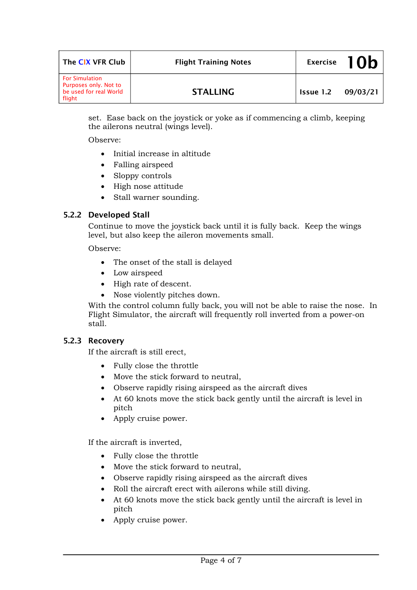| The CIX VFR Club                                                                   | <b>Flight Training Notes</b> |                  | Exercise $10b$ |
|------------------------------------------------------------------------------------|------------------------------|------------------|----------------|
| <b>For Simulation</b><br>Purposes only. Not to<br>be used for real World<br>flight | <b>STALLING</b>              | <b>Issue 1.2</b> | 09/03/21       |

set. Ease back on the joystick or yoke as if commencing a climb, keeping the ailerons neutral (wings level).

Observe:

- Initial increase in altitude
- Falling airspeed
- Sloppy controls
- High nose attitude
- Stall warner sounding.

#### **5.2.2 Developed Stall**

Continue to move the joystick back until it is fully back. Keep the wings level, but also keep the aileron movements small.

Observe:

- The onset of the stall is delayed
- Low airspeed
- High rate of descent.
- Nose violently pitches down.

With the control column fully back, you will not be able to raise the nose. In Flight Simulator, the aircraft will frequently roll inverted from a power-on stall.

#### **5.2.3 Recovery**

If the aircraft is still erect,

- Fully close the throttle
- Move the stick forward to neutral,
- Observe rapidly rising airspeed as the aircraft dives
- At 60 knots move the stick back gently until the aircraft is level in pitch
- Apply cruise power.

If the aircraft is inverted,

- Fully close the throttle
- Move the stick forward to neutral,
- Observe rapidly rising airspeed as the aircraft dives
- Roll the aircraft erect with ailerons while still diving.
- At 60 knots move the stick back gently until the aircraft is level in pitch
- Apply cruise power.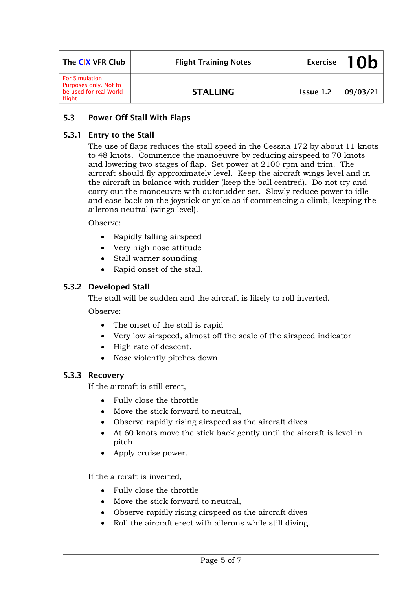| The CIX VFR Club                                                                   | <b>Flight Training Notes</b> |           | Exercise $10b$ |
|------------------------------------------------------------------------------------|------------------------------|-----------|----------------|
| <b>For Simulation</b><br>Purposes only. Not to<br>be used for real World<br>flight | <b>STALLING</b>              | Issue 1.2 | 09/03/21       |

# **5.3 Power Off Stall With Flaps**

### **5.3.1 Entry to the Stall**

The use of flaps reduces the stall speed in the Cessna 172 by about 11 knots to 48 knots. Commence the manoeuvre by reducing airspeed to 70 knots and lowering two stages of flap. Set power at 2100 rpm and trim. The aircraft should fly approximately level. Keep the aircraft wings level and in the aircraft in balance with rudder (keep the ball centred). Do not try and carry out the manoeuvre with autorudder set. Slowly reduce power to idle and ease back on the joystick or yoke as if commencing a climb, keeping the ailerons neutral (wings level).

Observe:

- Rapidly falling airspeed
- Very high nose attitude
- Stall warner sounding
- Rapid onset of the stall.

### **5.3.2 Developed Stall**

The stall will be sudden and the aircraft is likely to roll inverted.

Observe:

- The onset of the stall is rapid
- Very low airspeed, almost off the scale of the airspeed indicator
- High rate of descent.
- Nose violently pitches down.

#### **5.3.3 Recovery**

If the aircraft is still erect,

- Fully close the throttle
- Move the stick forward to neutral,
- Observe rapidly rising airspeed as the aircraft dives
- At 60 knots move the stick back gently until the aircraft is level in pitch
- Apply cruise power.

If the aircraft is inverted,

- Fully close the throttle
- Move the stick forward to neutral,
- Observe rapidly rising airspeed as the aircraft dives
- Roll the aircraft erect with ailerons while still diving.